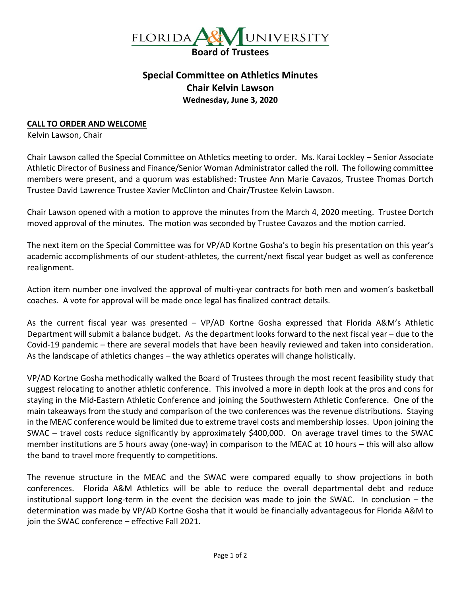

## **Special Committee on Athletics Minutes Chair Kelvin Lawson Wednesday, June 3, 2020**

## **CALL TO ORDER AND WELCOME**

Kelvin Lawson, Chair

Chair Lawson called the Special Committee on Athletics meeting to order. Ms. Karai Lockley – Senior Associate Athletic Director of Business and Finance/Senior Woman Administrator called the roll. The following committee members were present, and a quorum was established: Trustee Ann Marie Cavazos, Trustee Thomas Dortch Trustee David Lawrence Trustee Xavier McClinton and Chair/Trustee Kelvin Lawson.

Chair Lawson opened with a motion to approve the minutes from the March 4, 2020 meeting. Trustee Dortch moved approval of the minutes. The motion was seconded by Trustee Cavazos and the motion carried.

The next item on the Special Committee was for VP/AD Kortne Gosha's to begin his presentation on this year's academic accomplishments of our student-athletes, the current/next fiscal year budget as well as conference realignment.

Action item number one involved the approval of multi-year contracts for both men and women's basketball coaches. A vote for approval will be made once legal has finalized contract details.

As the current fiscal year was presented – VP/AD Kortne Gosha expressed that Florida A&M's Athletic Department will submit a balance budget. As the department looks forward to the next fiscal year – due to the Covid-19 pandemic – there are several models that have been heavily reviewed and taken into consideration. As the landscape of athletics changes – the way athletics operates will change holistically.

VP/AD Kortne Gosha methodically walked the Board of Trustees through the most recent feasibility study that suggest relocating to another athletic conference. This involved a more in depth look at the pros and cons for staying in the Mid-Eastern Athletic Conference and joining the Southwestern Athletic Conference. One of the main takeaways from the study and comparison of the two conferences was the revenue distributions. Staying in the MEAC conference would be limited due to extreme travel costs and membership losses. Upon joining the SWAC – travel costs reduce significantly by approximately \$400,000. On average travel times to the SWAC member institutions are 5 hours away (one-way) in comparison to the MEAC at 10 hours – this will also allow the band to travel more frequently to competitions.

The revenue structure in the MEAC and the SWAC were compared equally to show projections in both conferences. Florida A&M Athletics will be able to reduce the overall departmental debt and reduce institutional support long-term in the event the decision was made to join the SWAC. In conclusion – the determination was made by VP/AD Kortne Gosha that it would be financially advantageous for Florida A&M to join the SWAC conference – effective Fall 2021.